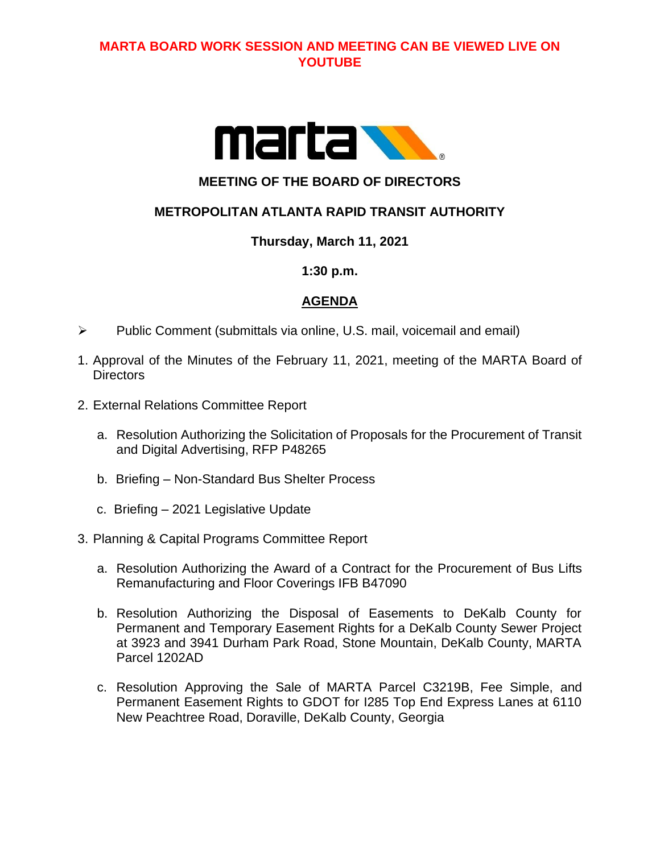# **MARTA BOARD WORK SESSION AND MEETING CAN BE VIEWED LIVE ON YOUTUBE**



# **MEETING OF THE BOARD OF DIRECTORS**

# **METROPOLITAN ATLANTA RAPID TRANSIT AUTHORITY**

## **Thursday, March 11, 2021**

#### **1:30 p.m.**

## **AGENDA**

- ➢ Public Comment (submittals via online, U.S. mail, voicemail and email)
- 1. Approval of the Minutes of the February 11, 2021, meeting of the MARTA Board of **Directors**
- 2. External Relations Committee Report
	- a. Resolution Authorizing the Solicitation of Proposals for the Procurement of Transit and Digital Advertising, RFP P48265
	- b. Briefing Non-Standard Bus Shelter Process
	- c. Briefing 2021 Legislative Update

#### 3. Planning & Capital Programs Committee Report

- a. Resolution Authorizing the Award of a Contract for the Procurement of Bus Lifts Remanufacturing and Floor Coverings IFB B47090
- b. Resolution Authorizing the Disposal of Easements to DeKalb County for Permanent and Temporary Easement Rights for a DeKalb County Sewer Project at 3923 and 3941 Durham Park Road, Stone Mountain, DeKalb County, MARTA Parcel 1202AD
- c. Resolution Approving the Sale of MARTA Parcel C3219B, Fee Simple, and Permanent Easement Rights to GDOT for I285 Top End Express Lanes at 6110 New Peachtree Road, Doraville, DeKalb County, Georgia